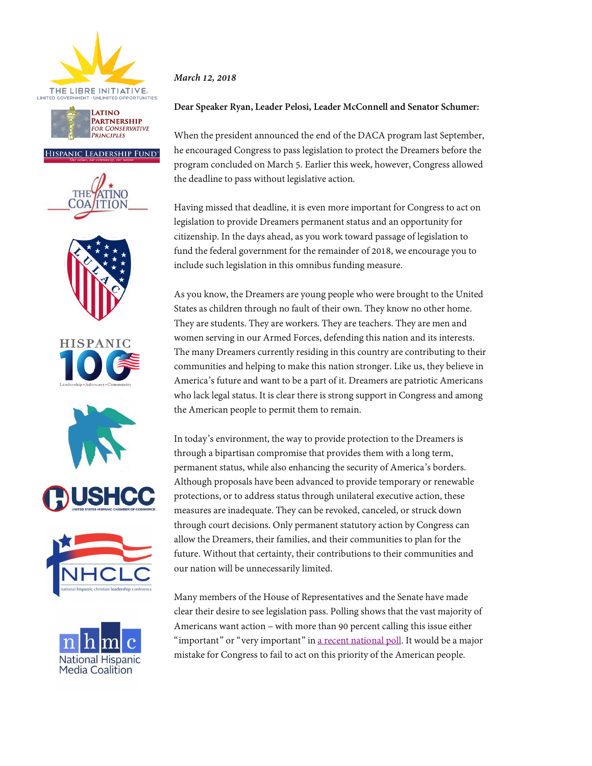



## HISPANIC LEADERSHIP FUND®















## *March 12, 2018*

## **Dear Speaker Ryan, Leader Pelosi, Leader McConnell and Senator Schumer:**

When the president announced the end of the DACA program last September, he encouraged Congress to pass legislation to protect the Dreamers before the program concluded on March 5. Earlier this week, however, Congress allowed the deadline to pass without legislative action.

Having missed that deadline, it is even more important for Congress to act on legislation to provide Dreamers permanent status and an opportunity for citizenship. In the days ahead, as you work toward passage of legislation to fund the federal government for the remainder of 2018, we encourage you to include such legislation in this omnibus funding measure.

As you know, the Dreamers are young people who were brought to the United States as children through no fault of their own. They know no other home. They are students. They are workers. They are teachers. They are men and women serving in our Armed Forces, defending this nation and its interests. The many Dreamers currently residing in this country are contributing to their communities and helping to make this nation stronger. Like us, they believe in America's future and want to be a part of it. Dreamers are patriotic Americans who lack legal status. It is clear there is strong support in Congress and among the American people to permit them to remain.

In today's environment, the way to provide protection to the Dreamers is through a bipartisan compromise that provides them with a long term, permanent status, while also enhancing the security of America's borders. Although proposals have been advanced to provide temporary or renewable protections, or to address status through unilateral executive action, these measures are inadequate. They can be revoked, canceled, or struck down through court decisions. Only permanent statutory action by Congress can allow the Dreamers, their families, and their communities to plan for the future. Without that certainty, their contributions to their communities and our nation will be unnecessarily limited.

Many members of the House of Representatives and the Senate have made clear their desire to see legislation pass. Polling shows that the vast majority of Americans want action – with more than 90 percent calling this issue either "important" or "very important" in a recent national poll. It would be a major mistake for Congress to fail to act on this priority of the American people.